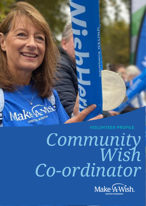

# *Community Wish Co-ordinator*

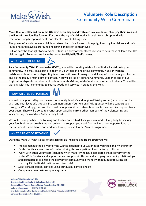

## **Volunteer Role Description** Community Wish Co-ordinator

**More than 60,000 children in the UK have been diagnosed with a critical condition, changing their lives and the lives of their families forever.** For them, the joy of childhood is brought to an abrupt end, with treatment, hospital appointments and sleepless nights taking over.

The power of a wish revives a childhood stolen by critical illness. It brings light and joy to children and their loved ones and leaves a profound and lasting impact on all their lives.

But we can't be that light for everyone. It takes an army of volunteers like you to help these children feel like children again. Together, we have the power to **#LightUpTheDarkness.**

#### **WHAT WILL I BE DOING?**



As a **Community Wish Co-ordinator (CWC)**, you will be creating wishes for critically ill children in your community. This may be as part of a team of volunteers in one of our community hubs or working collaboratively with our wishgranting team. You will project manage the delivery of wishes assigned to you and be the family's main point of contact. You will be led by either a Community Leader or one of our Regional Wishgranters and work closely with Wish Makers, Wish Creators and other volunteers. You will be working with your community to source goods and services in creating the wish.

#### **HOW WILL I BE SUPPORTED?**



You will be supported by our team of Community Leader's and Regional Wishgranters (dependent on the wish and your location), through 1-1 communication. Your Regional Wishgranter will also support you through a WhatsApp group and there will be opportunities to share best practice and receive support from your peers. There will also be relevant support available from other members of the volunteering and wishgranting team and our Safeguarding Lead.

We will ensure you have the training and tools required to deliver your role and will regularly be seeking your feedback to ensure that we can deliver the support you need. You will also have opportunities to receive updates and share your feedback through our Volunteer Voices programme.

#### **WHAT ARE MY CORE TASKS?**

Using the Make-A-Wish values of **Be Magical**, **Be Inclusive** and **Be Inspired** you will:

- Project manage the delivery of the wishes assigned to you, alongside your Regional Wishgranter
- Be the families' main point of contact during the anticipation of and delivery of the wish
- Work with other volunteers (including Wish Makers who have completed the discovery for the wish), Wish Creators and supporters and suppliers in the area; developing community relationships and partnerships to enable the delivery of community led wishes within budget (focusing on sourcing Gift In Kind donations and discounts)
- Seek donated goods/services using our quality control checks
- Complete admin tasks using our systems

Make-A-Wish Foundation® UK Registered Address: Make-A-Wish Foundation UK, Seventh Floor, Thames Tower, Station Road, Reading RG1 1LX make-a-wish.org.uk 01276 40 50 60 Charity Registration No. (England and Wales) 295672 / (Scotland) SC037479 Company Registration No. 2031836

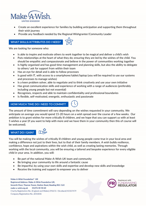

- Create an excellent experience for families by building anticipation and supporting them throughout their wish journey
- Provide any feedback needed by the Regional Wishgranter/Community Leader

### **WHAT SKILLS/ATTRIBUTES DO I NEED?**

We are looking for someone who:

- Is able to inspire and motivate others to work together to be magical and deliver a child's wish
- Puts relationships at the heart of what they do; ensuring they are led by the wishes of the child. You should be empathic and compassionate and believe in the power of communities working together
- Is highly organised and has good time management and planning skills, but also the ability to delegate to others/ ask for support from within their team
- Has an eye for detail and is able to follow processes
- Is good with IT, with access to a smartphone/tablet/laptop (you will be required to use our systems and processes to manage wishes)
- Is a keen problem solver, able to negotiate and to think creatively and use your own initiative
- Has great communication skills and experience of working with a range of audiences (preferably including young people but not essential)
- Recognises, respects and able to maintain confidentiality and professional boundaries
- Is flexible, self-motivated, energetic, enthusiastic and passionate

#### **HOW MUCH TIME DO I NEED TO COMMIT?**



The amount of time commitment will vary depending on the wishes requested in your community. We anticipate on average you would spend 15-20 hours on a wish spread over the course of a few weeks. Our ambition is to grant wishes for more critically ill children, and we hope that you can support us with at least 5 wishes a year (if you want to help with more and we have them in your community then this of course will be welcomed).

#### **WHAT DO I GAIN?**



You will be making the wishes of critically ill children and young people come true in your local area and making a difference not just to their lives, but to that of their family members. A wish builds resilience, confidence, hope and aspirations within the wish child, as well as creating lasting memories. Through working with the local community, you will be ensuring a tailored and bespoke experience for every eligible child in your area. In addition, you will:

- Be part of the national Make-A-Wish UK team and community
- Be bringing your community to life around a fantastic cause
- Be impactful, by using your own skills and expertise and develop new skills and knowledge
- Receive the training and support to empower you to deliver

Make-A-Wish Foundation® UK Registered Address: Make-A-Wish Foundation UK, Seventh Floor, Thames Tower, Station Road, Reading RG1 1LX make-a-wish.org.uk 01276 40 50 60 Charity Registration No. (England and Wales) 295672 / (Scotland) SC037479 Company Registration No. 2031836